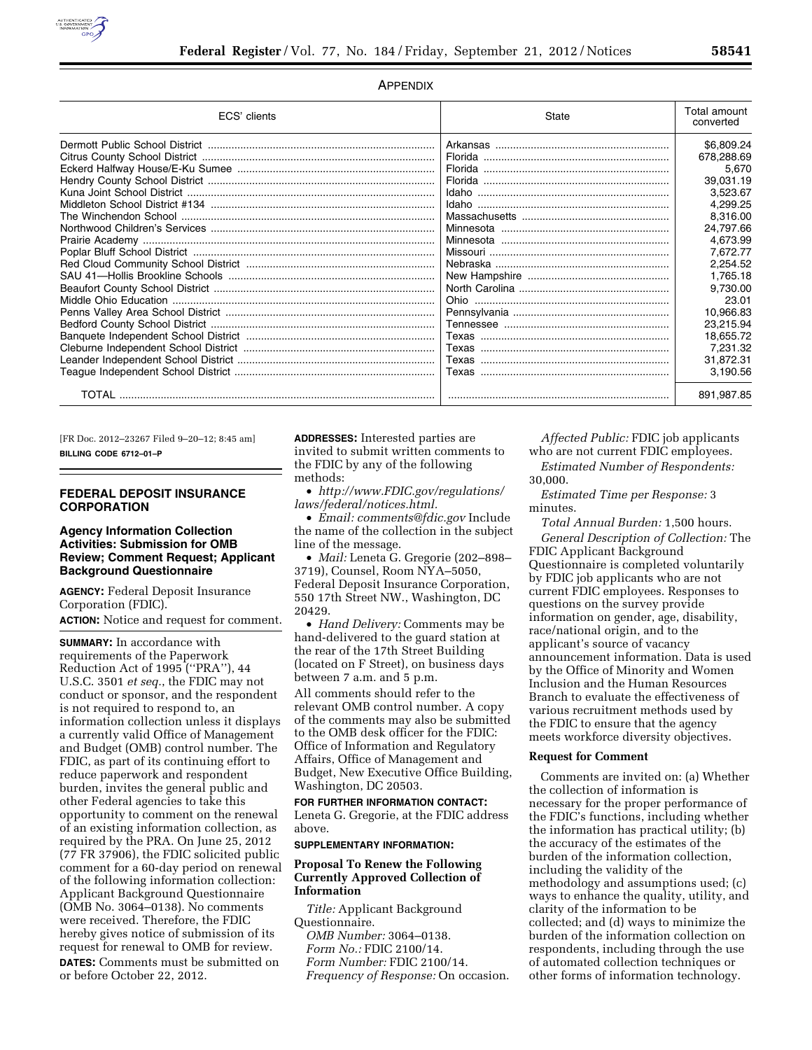

### APPENDIX

| ECS' clients | State | Total amount<br>converted |
|--------------|-------|---------------------------|
|              |       | \$6,809.24                |
|              |       | 678,288.69                |
|              |       | 5,670                     |
|              |       | 39,031.19                 |
|              |       | 3,523.67                  |
|              |       | 4,299.25                  |
|              |       | 8,316.00                  |
|              |       | 24.797.66                 |
|              |       | 4.673.99                  |
|              |       | 7.672.77                  |
|              |       | 2,254.52                  |
|              |       | 1,765.18                  |
|              |       | 9.730.00                  |
|              |       | 23.01                     |
|              |       | 10.966.83                 |
|              |       | 23,215.94                 |
|              |       | 18,655.72                 |
|              |       | 7,231.32                  |
|              |       | 31,872.31                 |
|              |       | 3,190.56                  |
|              |       | 891,987.85                |

[FR Doc. 2012–23267 Filed 9–20–12; 8:45 am] **BILLING CODE 6712–01–P** 

## **FEDERAL DEPOSIT INSURANCE CORPORATION**

### **Agency Information Collection Activities: Submission for OMB Review; Comment Request; Applicant Background Questionnaire**

**AGENCY:** Federal Deposit Insurance Corporation (FDIC). **ACTION:** Notice and request for comment.

**SUMMARY:** In accordance with requirements of the Paperwork Reduction Act of 1995 (''PRA''), 44 U.S.C. 3501 *et seq.*, the FDIC may not conduct or sponsor, and the respondent is not required to respond to, an information collection unless it displays a currently valid Office of Management and Budget (OMB) control number. The FDIC, as part of its continuing effort to reduce paperwork and respondent burden, invites the general public and other Federal agencies to take this opportunity to comment on the renewal of an existing information collection, as required by the PRA. On June 25, 2012 (77 FR 37906), the FDIC solicited public comment for a 60-day period on renewal of the following information collection: Applicant Background Questionnaire (OMB No. 3064–0138). No comments were received. Therefore, the FDIC hereby gives notice of submission of its request for renewal to OMB for review. **DATES:** Comments must be submitted on or before October 22, 2012.

**ADDRESSES:** Interested parties are invited to submit written comments to the FDIC by any of the following methods:

• *[http://www.FDIC.gov/regulations/](http://www.FDIC.gov/regulations/laws/federal/notices.html) [laws/federal/notices.html.](http://www.FDIC.gov/regulations/laws/federal/notices.html)* 

• *Email: [comments@fdic.gov](mailto:comments@fdic.gov)* Include the name of the collection in the subject line of the message.

• *Mail:* Leneta G. Gregorie (202–898– 3719), Counsel, Room NYA–5050, Federal Deposit Insurance Corporation, 550 17th Street NW., Washington, DC 20429.

• *Hand Delivery:* Comments may be hand-delivered to the guard station at the rear of the 17th Street Building (located on F Street), on business days between 7 a.m. and 5 p.m.

All comments should refer to the relevant OMB control number. A copy of the comments may also be submitted to the OMB desk officer for the FDIC: Office of Information and Regulatory Affairs, Office of Management and Budget, New Executive Office Building, Washington, DC 20503.

**FOR FURTHER INFORMATION CONTACT:**  Leneta G. Gregorie, at the FDIC address above.

# **SUPPLEMENTARY INFORMATION:**

### **Proposal To Renew the Following Currently Approved Collection of Information**

*Title:* Applicant Background Questionnaire. *OMB Number:* 3064–0138. *Form No.:* FDIC 2100/14. *Form Number:* FDIC 2100/14. *Frequency of Response:* On occasion.

*Affected Public:* FDIC job applicants who are not current FDIC employees.

*Estimated Number of Respondents:*  30,000.

*Estimated Time per Response:* 3 minutes.

*Total Annual Burden:* 1,500 hours. *General Description of Collection:* The FDIC Applicant Background Questionnaire is completed voluntarily by FDIC job applicants who are not current FDIC employees. Responses to questions on the survey provide information on gender, age, disability, race/national origin, and to the applicant's source of vacancy announcement information. Data is used by the Office of Minority and Women Inclusion and the Human Resources Branch to evaluate the effectiveness of various recruitment methods used by the FDIC to ensure that the agency meets workforce diversity objectives.

#### **Request for Comment**

Comments are invited on: (a) Whether the collection of information is necessary for the proper performance of the FDIC's functions, including whether the information has practical utility; (b) the accuracy of the estimates of the burden of the information collection, including the validity of the methodology and assumptions used; (c) ways to enhance the quality, utility, and clarity of the information to be collected; and (d) ways to minimize the burden of the information collection on respondents, including through the use of automated collection techniques or other forms of information technology.